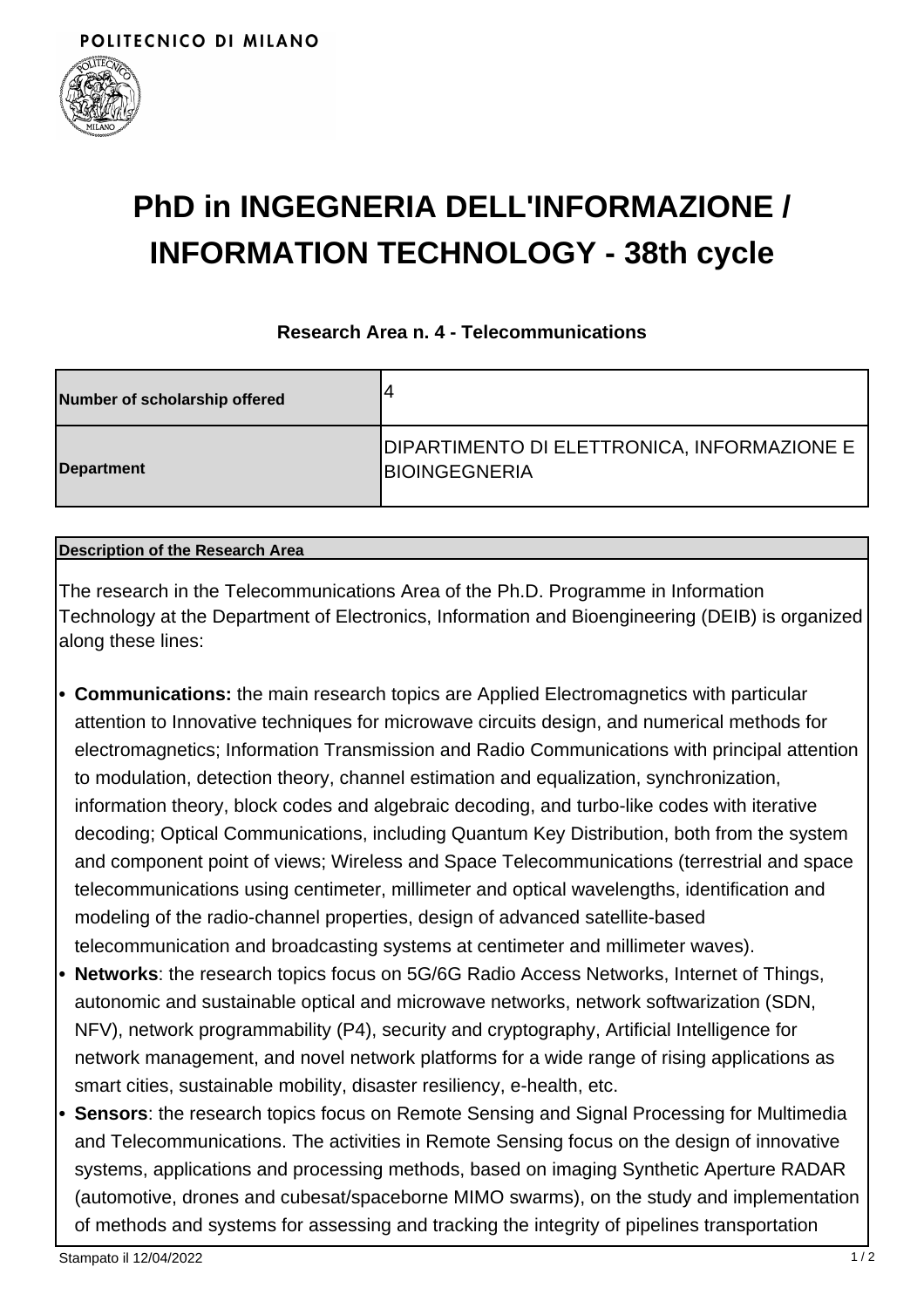

# **PhD in INGEGNERIA DELL'INFORMAZIONE / INFORMATION TECHNOLOGY - 38th cycle**

### **Research Area n. 4 - Telecommunications**

| Number of scholarship offered | ,4                                                                   |
|-------------------------------|----------------------------------------------------------------------|
| Department                    | DIPARTIMENTO DI ELETTRONICA, INFORMAZIONE E<br><b>IBIOINGEGNERIA</b> |

#### **Description of the Research Area**

The research in the Telecommunications Area of the Ph.D. Programme in Information Technology at the Department of Electronics, Information and Bioengineering (DEIB) is organized along these lines:

- **Communications:** the main research topics are Applied Electromagnetics with particular **•** attention to Innovative techniques for microwave circuits design, and numerical methods for electromagnetics; Information Transmission and Radio Communications with principal attention to modulation, detection theory, channel estimation and equalization, synchronization, information theory, block codes and algebraic decoding, and turbo-like codes with iterative decoding; Optical Communications, including Quantum Key Distribution, both from the system and component point of views; Wireless and Space Telecommunications (terrestrial and space telecommunications using centimeter, millimeter and optical wavelengths, identification and modeling of the radio-channel properties, design of advanced satellite-based telecommunication and broadcasting systems at centimeter and millimeter waves).
- **Networks**: the research topics focus on 5G/6G Radio Access Networks, Internet of Things, **•** autonomic and sustainable optical and microwave networks, network softwarization (SDN, NFV), network programmability (P4), security and cryptography, Artificial Intelligence for network management, and novel network platforms for a wide range of rising applications as smart cities, sustainable mobility, disaster resiliency, e-health, etc.
- **Sensors**: the research topics focus on Remote Sensing and Signal Processing for Multimedia **•** and Telecommunications. The activities in Remote Sensing focus on the design of innovative systems, applications and processing methods, based on imaging Synthetic Aperture RADAR (automotive, drones and cubesat/spaceborne MIMO swarms), on the study and implementation of methods and systems for assessing and tracking the integrity of pipelines transportation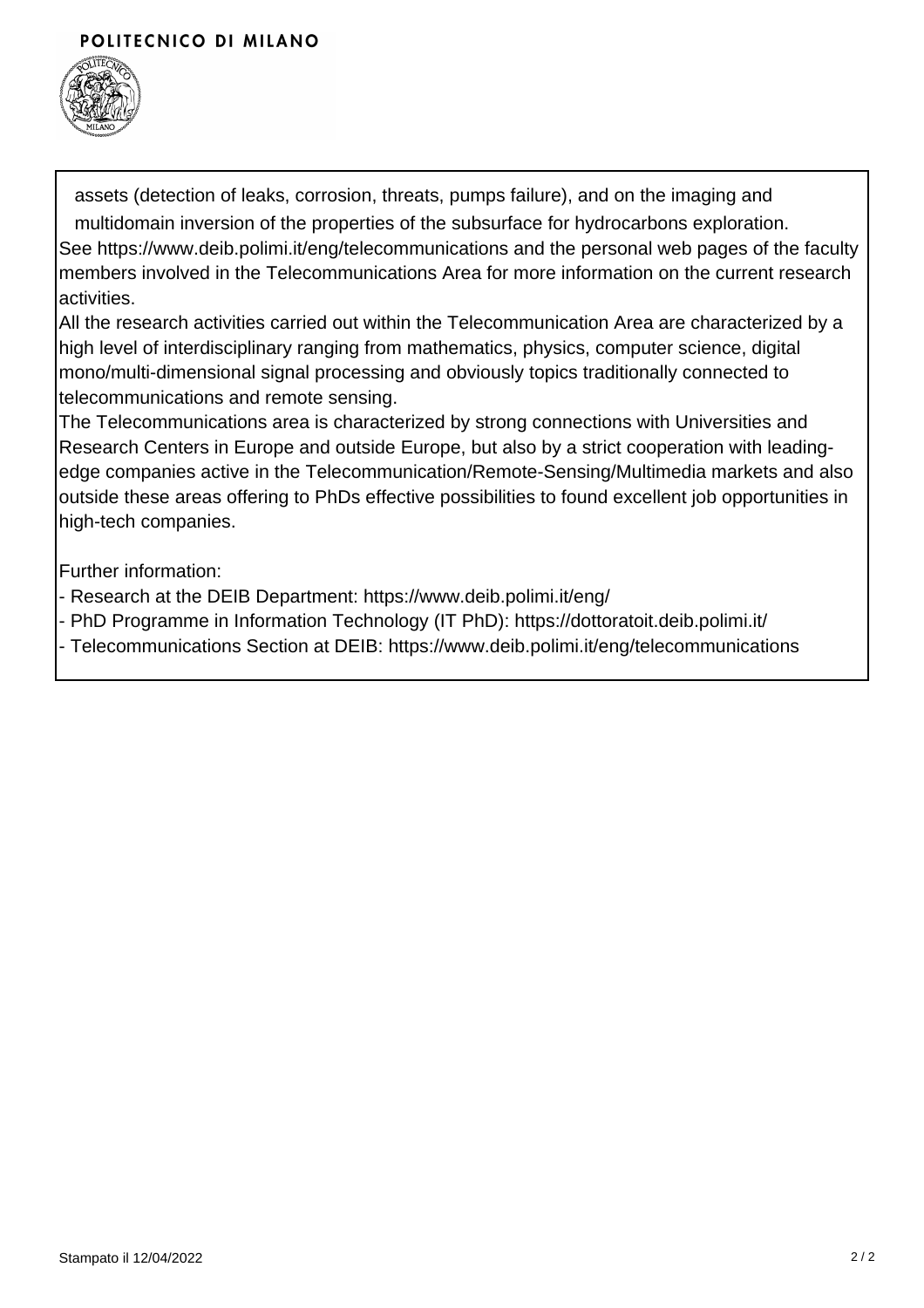## POLITECNICO DI MILANO



assets (detection of leaks, corrosion, threats, pumps failure), and on the imaging and multidomain inversion of the properties of the subsurface for hydrocarbons exploration. See https://www.deib.polimi.it/eng/telecommunications and the personal web pages of the faculty members involved in the Telecommunications Area for more information on the current research activities.

All the research activities carried out within the Telecommunication Area are characterized by a high level of interdisciplinary ranging from mathematics, physics, computer science, digital mono/multi-dimensional signal processing and obviously topics traditionally connected to telecommunications and remote sensing.

The Telecommunications area is characterized by strong connections with Universities and Research Centers in Europe and outside Europe, but also by a strict cooperation with leadingedge companies active in the Telecommunication/Remote-Sensing/Multimedia markets and also outside these areas offering to PhDs effective possibilities to found excellent job opportunities in high-tech companies.

Further information:

- Research at the DEIB Department: https://www.deib.polimi.it/eng/
- PhD Programme in Information Technology (IT PhD): https://dottoratoit.deib.polimi.it/
- Telecommunications Section at DEIB: https://www.deib.polimi.it/eng/telecommunications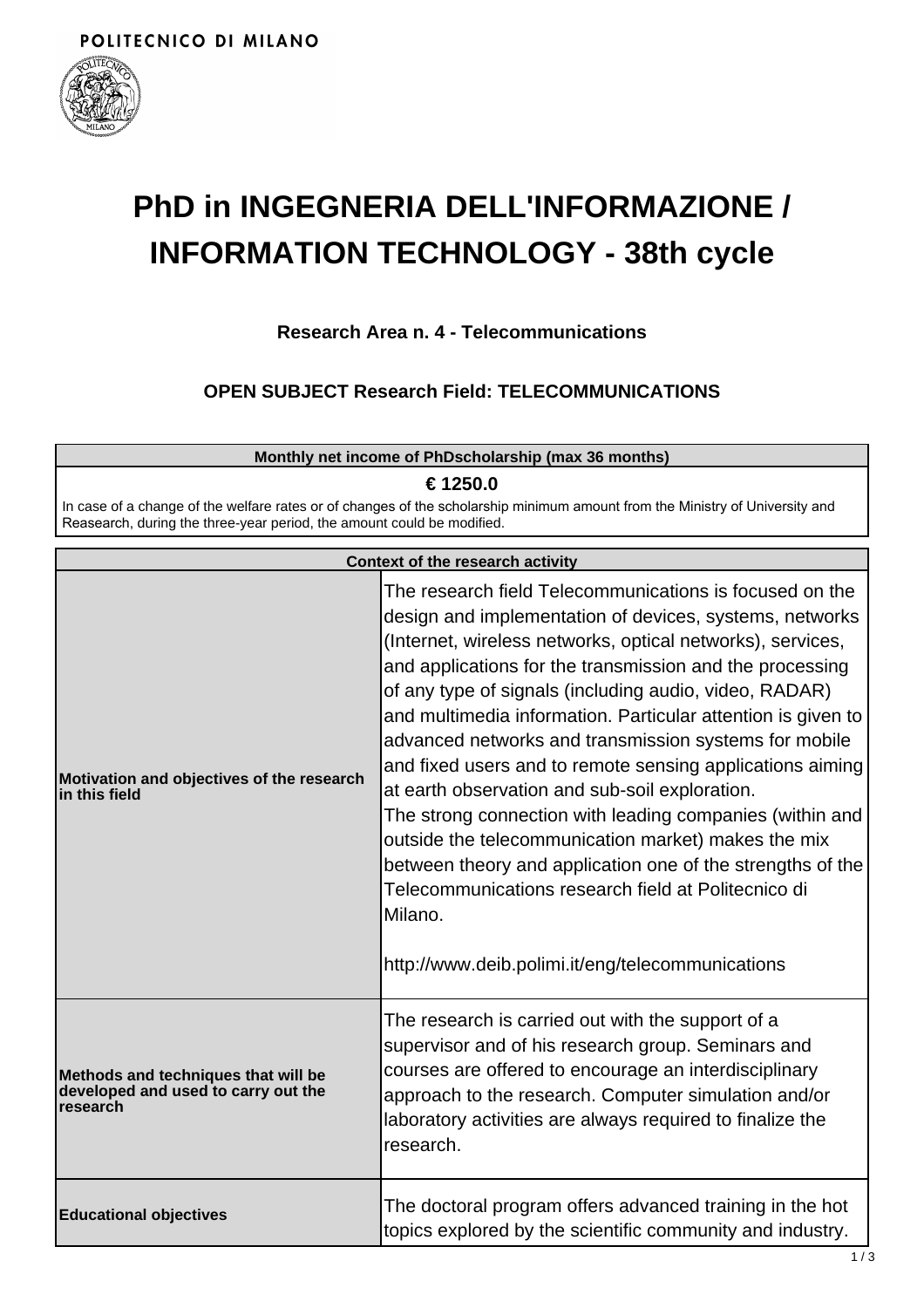

**research**

# **PhD in INGEGNERIA DELL'INFORMAZIONE / INFORMATION TECHNOLOGY - 38th cycle**

# **Research Area n. 4 - Telecommunications**

**OPEN SUBJECT Research Field: TELECOMMUNICATIONS**

| Monthly net income of PhDscholarship (max 36 months)                                                                                                                                                               |                                                                                                                                                                                                                                                                                                                                                                                                                                                                                                                                                                                                                                                                                                                                                                                                                                                       |  |
|--------------------------------------------------------------------------------------------------------------------------------------------------------------------------------------------------------------------|-------------------------------------------------------------------------------------------------------------------------------------------------------------------------------------------------------------------------------------------------------------------------------------------------------------------------------------------------------------------------------------------------------------------------------------------------------------------------------------------------------------------------------------------------------------------------------------------------------------------------------------------------------------------------------------------------------------------------------------------------------------------------------------------------------------------------------------------------------|--|
| € 1250.0<br>In case of a change of the welfare rates or of changes of the scholarship minimum amount from the Ministry of University and<br>Reasearch, during the three-year period, the amount could be modified. |                                                                                                                                                                                                                                                                                                                                                                                                                                                                                                                                                                                                                                                                                                                                                                                                                                                       |  |
|                                                                                                                                                                                                                    | <b>Context of the research activity</b>                                                                                                                                                                                                                                                                                                                                                                                                                                                                                                                                                                                                                                                                                                                                                                                                               |  |
| Motivation and objectives of the research<br>lin this field                                                                                                                                                        | The research field Telecommunications is focused on the<br>design and implementation of devices, systems, networks<br>(Internet, wireless networks, optical networks), services,<br>and applications for the transmission and the processing<br>of any type of signals (including audio, video, RADAR)<br>and multimedia information. Particular attention is given to<br>advanced networks and transmission systems for mobile<br>and fixed users and to remote sensing applications aiming<br>at earth observation and sub-soil exploration.<br>The strong connection with leading companies (within and<br>outside the telecommunication market) makes the mix<br>between theory and application one of the strengths of the<br>Telecommunications research field at Politecnico di<br>Milano.<br>http://www.deib.polimi.it/eng/telecommunications |  |
|                                                                                                                                                                                                                    | The research is carried out with the support of a                                                                                                                                                                                                                                                                                                                                                                                                                                                                                                                                                                                                                                                                                                                                                                                                     |  |

**Methods and techniques that will be developed and used to carry out the** supervisor and of his research group. Seminars and courses are offered to encourage an interdisciplinary approach to the research. Computer simulation and/or laboratory activities are always required to finalize the research.

| <b>Educational objectives</b> | The doctoral program offers advanced training in the hot<br>topics explored by the scientific community and industry. |
|-------------------------------|-----------------------------------------------------------------------------------------------------------------------|
|                               |                                                                                                                       |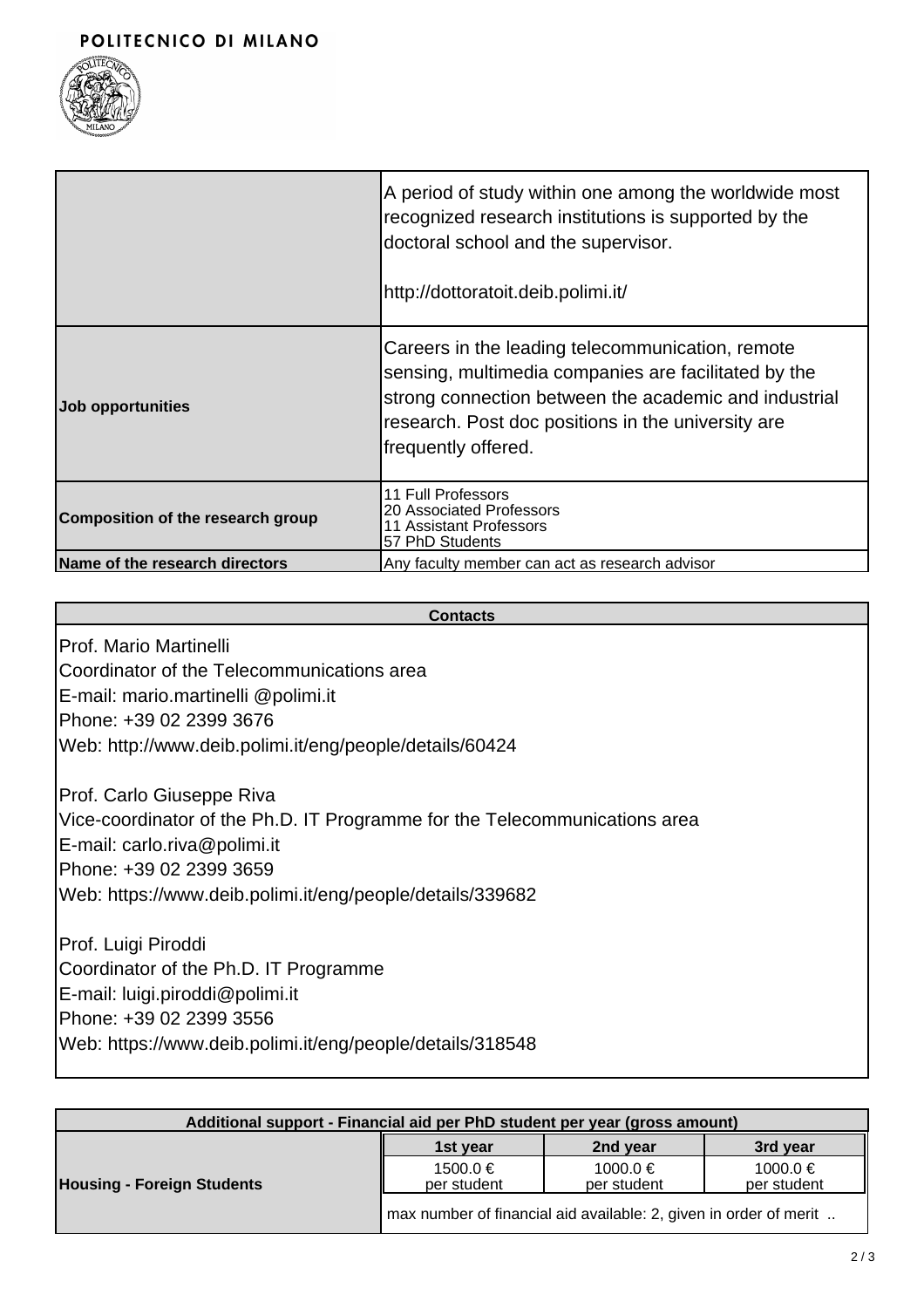

|                                   | A period of study within one among the worldwide most<br>recognized research institutions is supported by the<br>doctoral school and the supervisor.<br>http://dottoratoit.deib.polimi.it/                                                     |
|-----------------------------------|------------------------------------------------------------------------------------------------------------------------------------------------------------------------------------------------------------------------------------------------|
| Job opportunities                 | Careers in the leading telecommunication, remote<br>sensing, multimedia companies are facilitated by the<br>strong connection between the academic and industrial<br>research. Post doc positions in the university are<br>frequently offered. |
| Composition of the research group | 11 Full Professors<br>20 Associated Professors<br>11 Assistant Professors<br>57 PhD Students                                                                                                                                                   |
| Name of the research directors    | Any faculty member can act as research advisor                                                                                                                                                                                                 |

# **Contacts** Prof. Mario Martinelli Coordinator of the Telecommunications area E-mail: mario.martinelli @polimi.it Phone: +39 02 2399 3676 Web: http://www.deib.polimi.it/eng/people/details/60424 Prof. Carlo Giuseppe Riva Vice-coordinator of the Ph.D. IT Programme for the Telecommunications area E-mail: carlo.riva@polimi.it Phone: +39 02 2399 3659 Web: https://www.deib.polimi.it/eng/people/details/339682 Prof. Luigi Piroddi Coordinator of the Ph.D. IT Programme E-mail: luigi.piroddi@polimi.it Phone: +39 02 2399 3556 Web: https://www.deib.polimi.it/eng/people/details/318548

| Additional support - Financial aid per PhD student per year (gross amount) |                                                                   |                         |                         |
|----------------------------------------------------------------------------|-------------------------------------------------------------------|-------------------------|-------------------------|
|                                                                            | 1st year                                                          | 2nd year                | 3rd year                |
| <b>Housing - Foreign Students</b>                                          | 1500.0 €<br>per student                                           | 1000.0 €<br>per student | 1000.0 €<br>per student |
|                                                                            | max number of financial aid available: 2, given in order of merit |                         |                         |